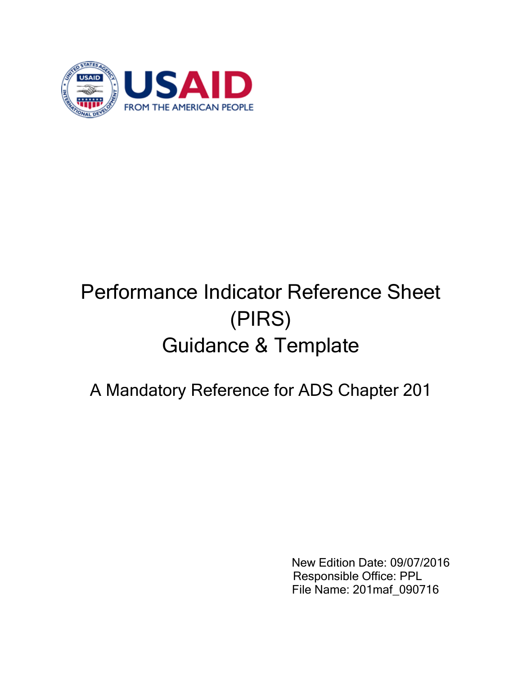

## Performance Indicator Reference Sheet (PIRS) Guidance & Template

## A Mandatory Reference for ADS Chapter 201

New Edition Date: 09/07/2016 Responsible Office: PPL File Name: 201maf\_090716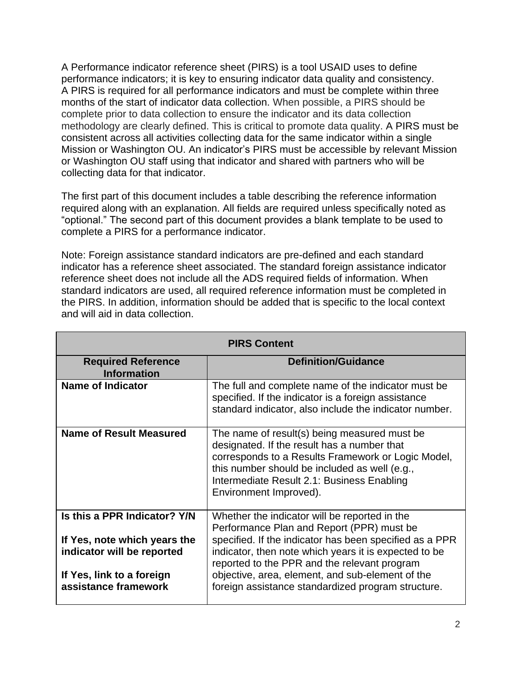A Performance indicator reference sheet (PIRS) is a tool USAID uses to define performance indicators; it is key to ensuring indicator data quality and consistency. A PIRS is required for all performance indicators and must be complete within three months of the start of indicator data collection. When possible, a PIRS should be complete prior to data collection to ensure the indicator and its data collection methodology are clearly defined. This is critical to promote data quality. A PIRS must be consistent across all activities collecting data for the same indicator within a single Mission or Washington OU. An indicator's PIRS must be accessible by relevant Mission or Washington OU staff using that indicator and shared with partners who will be collecting data for that indicator.

The first part of this document includes a table describing the reference information required along with an explanation. All fields are required unless specifically noted as "optional." The second part of this document provides a blank template to be used to complete a PIRS for a performance indicator.

Note: Foreign assistance standard indicators are pre-defined and each standard indicator has a reference sheet associated. The standard foreign assistance indicator reference sheet does not include all the ADS required fields of information. When standard indicators are used, all required reference information must be completed in the PIRS. In addition, information should be added that is specific to the local context and will aid in data collection.

| <b>PIRS Content</b>                                                                                                                             |                                                                                                                                                                                                                                                                                                                                                                          |  |
|-------------------------------------------------------------------------------------------------------------------------------------------------|--------------------------------------------------------------------------------------------------------------------------------------------------------------------------------------------------------------------------------------------------------------------------------------------------------------------------------------------------------------------------|--|
| <b>Required Reference</b><br><b>Information</b>                                                                                                 | <b>Definition/Guidance</b>                                                                                                                                                                                                                                                                                                                                               |  |
| <b>Name of Indicator</b>                                                                                                                        | The full and complete name of the indicator must be<br>specified. If the indicator is a foreign assistance<br>standard indicator, also include the indicator number.                                                                                                                                                                                                     |  |
| <b>Name of Result Measured</b>                                                                                                                  | The name of result(s) being measured must be<br>designated. If the result has a number that<br>corresponds to a Results Framework or Logic Model,<br>this number should be included as well (e.g.,<br>Intermediate Result 2.1: Business Enabling<br>Environment Improved).                                                                                               |  |
| Is this a PPR Indicator? Y/N<br>If Yes, note which years the<br>indicator will be reported<br>If Yes, link to a foreign<br>assistance framework | Whether the indicator will be reported in the<br>Performance Plan and Report (PPR) must be<br>specified. If the indicator has been specified as a PPR<br>indicator, then note which years it is expected to be<br>reported to the PPR and the relevant program<br>objective, area, element, and sub-element of the<br>foreign assistance standardized program structure. |  |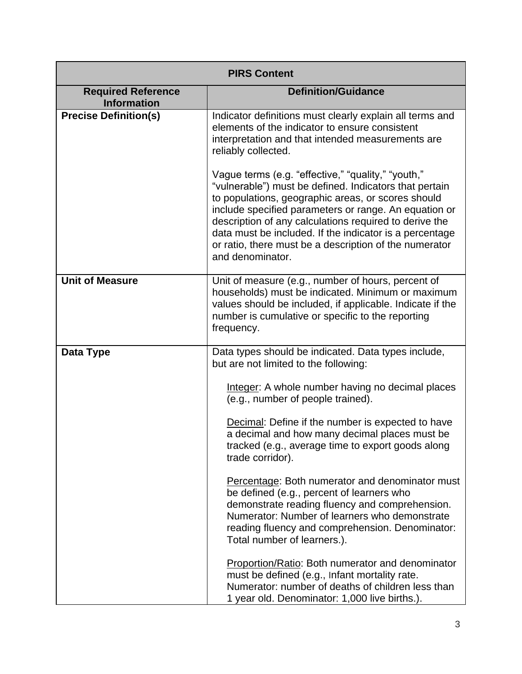| <b>PIRS Content</b>                             |                                                                                                                                                                                                                                                                                                                                                                                                                                |
|-------------------------------------------------|--------------------------------------------------------------------------------------------------------------------------------------------------------------------------------------------------------------------------------------------------------------------------------------------------------------------------------------------------------------------------------------------------------------------------------|
| <b>Required Reference</b><br><b>Information</b> | <b>Definition/Guidance</b>                                                                                                                                                                                                                                                                                                                                                                                                     |
| <b>Precise Definition(s)</b>                    | Indicator definitions must clearly explain all terms and<br>elements of the indicator to ensure consistent<br>interpretation and that intended measurements are<br>reliably collected.                                                                                                                                                                                                                                         |
|                                                 | Vague terms (e.g. "effective," "quality," "youth,"<br>"vulnerable") must be defined. Indicators that pertain<br>to populations, geographic areas, or scores should<br>include specified parameters or range. An equation or<br>description of any calculations required to derive the<br>data must be included. If the indicator is a percentage<br>or ratio, there must be a description of the numerator<br>and denominator. |
| <b>Unit of Measure</b>                          | Unit of measure (e.g., number of hours, percent of<br>households) must be indicated. Minimum or maximum<br>values should be included, if applicable. Indicate if the<br>number is cumulative or specific to the reporting<br>frequency.                                                                                                                                                                                        |
| Data Type                                       | Data types should be indicated. Data types include,<br>but are not limited to the following:                                                                                                                                                                                                                                                                                                                                   |
|                                                 | Integer: A whole number having no decimal places<br>(e.g., number of people trained).                                                                                                                                                                                                                                                                                                                                          |
|                                                 | Decimal: Define if the number is expected to have<br>a decimal and how many decimal places must be<br>tracked (e.g., average time to export goods along<br>trade corridor).                                                                                                                                                                                                                                                    |
|                                                 | Percentage: Both numerator and denominator must<br>be defined (e.g., percent of learners who<br>demonstrate reading fluency and comprehension.<br>Numerator: Number of learners who demonstrate<br>reading fluency and comprehension. Denominator:<br>Total number of learners.).                                                                                                                                              |
|                                                 | Proportion/Ratio: Both numerator and denominator<br>must be defined (e.g., Infant mortality rate.<br>Numerator: number of deaths of children less than<br>1 year old. Denominator: 1,000 live births.).                                                                                                                                                                                                                        |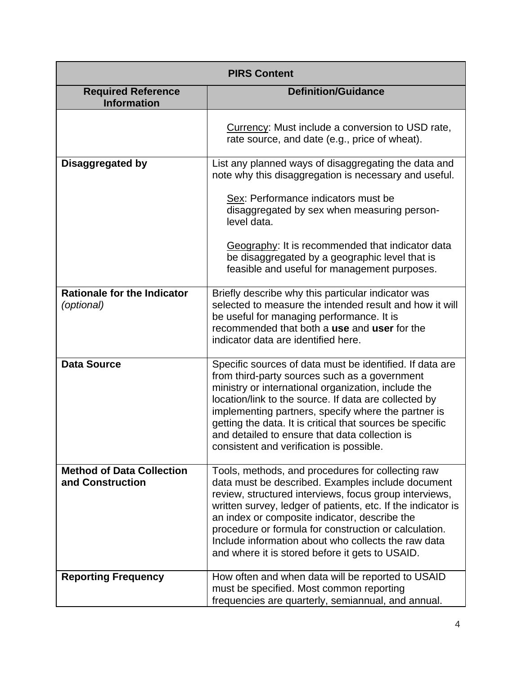| <b>PIRS Content</b>                                  |                                                                                                                                                                                                                                                                                                                                                                                                                                                      |
|------------------------------------------------------|------------------------------------------------------------------------------------------------------------------------------------------------------------------------------------------------------------------------------------------------------------------------------------------------------------------------------------------------------------------------------------------------------------------------------------------------------|
| <b>Required Reference</b><br><b>Information</b>      | <b>Definition/Guidance</b>                                                                                                                                                                                                                                                                                                                                                                                                                           |
|                                                      | Currency: Must include a conversion to USD rate,<br>rate source, and date (e.g., price of wheat).                                                                                                                                                                                                                                                                                                                                                    |
| Disaggregated by                                     | List any planned ways of disaggregating the data and<br>note why this disaggregation is necessary and useful.                                                                                                                                                                                                                                                                                                                                        |
|                                                      | Sex: Performance indicators must be<br>disaggregated by sex when measuring person-<br>level data.                                                                                                                                                                                                                                                                                                                                                    |
|                                                      | Geography: It is recommended that indicator data<br>be disaggregated by a geographic level that is<br>feasible and useful for management purposes.                                                                                                                                                                                                                                                                                                   |
| <b>Rationale for the Indicator</b><br>(optional)     | Briefly describe why this particular indicator was<br>selected to measure the intended result and how it will<br>be useful for managing performance. It is<br>recommended that both a use and user for the<br>indicator data are identified here.                                                                                                                                                                                                    |
| <b>Data Source</b>                                   | Specific sources of data must be identified. If data are<br>from third-party sources such as a government<br>ministry or international organization, include the<br>location/link to the source. If data are collected by<br>implementing partners, specify where the partner is<br>getting the data. It is critical that sources be specific<br>and detailed to ensure that data collection is<br>consistent and verification is possible.          |
| <b>Method of Data Collection</b><br>and Construction | Tools, methods, and procedures for collecting raw<br>data must be described. Examples include document<br>review, structured interviews, focus group interviews,<br>written survey, ledger of patients, etc. If the indicator is<br>an index or composite indicator, describe the<br>procedure or formula for construction or calculation.<br>Include information about who collects the raw data<br>and where it is stored before it gets to USAID. |
| <b>Reporting Frequency</b>                           | How often and when data will be reported to USAID<br>must be specified. Most common reporting<br>frequencies are quarterly, semiannual, and annual.                                                                                                                                                                                                                                                                                                  |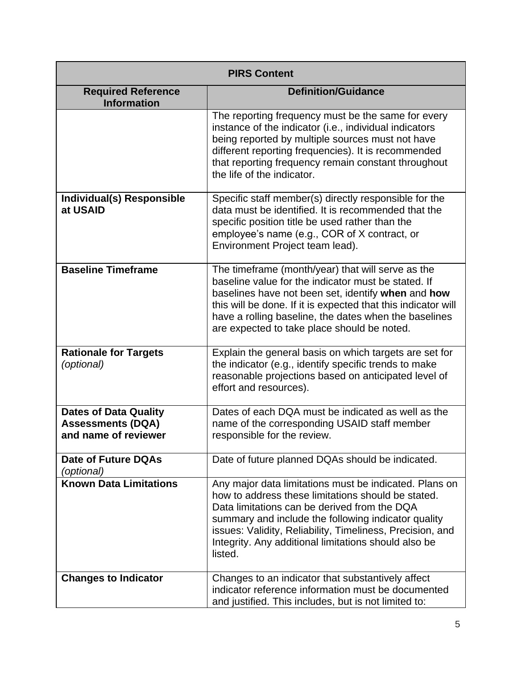| <b>PIRS Content</b>                                                              |                                                                                                                                                                                                                                                                                                                                                     |
|----------------------------------------------------------------------------------|-----------------------------------------------------------------------------------------------------------------------------------------------------------------------------------------------------------------------------------------------------------------------------------------------------------------------------------------------------|
| <b>Required Reference</b><br><b>Information</b>                                  | <b>Definition/Guidance</b>                                                                                                                                                                                                                                                                                                                          |
|                                                                                  | The reporting frequency must be the same for every<br>instance of the indicator (i.e., individual indicators<br>being reported by multiple sources must not have<br>different reporting frequencies). It is recommended<br>that reporting frequency remain constant throughout<br>the life of the indicator.                                        |
| Individual(s) Responsible<br>at USAID                                            | Specific staff member(s) directly responsible for the<br>data must be identified. It is recommended that the<br>specific position title be used rather than the<br>employee's name (e.g., COR of X contract, or<br>Environment Project team lead).                                                                                                  |
| <b>Baseline Timeframe</b>                                                        | The timeframe (month/year) that will serve as the<br>baseline value for the indicator must be stated. If<br>baselines have not been set, identify when and how<br>this will be done. If it is expected that this indicator will<br>have a rolling baseline, the dates when the baselines<br>are expected to take place should be noted.             |
| <b>Rationale for Targets</b><br>(optional)                                       | Explain the general basis on which targets are set for<br>the indicator (e.g., identify specific trends to make<br>reasonable projections based on anticipated level of<br>effort and resources).                                                                                                                                                   |
| <b>Dates of Data Quality</b><br><b>Assessments (DQA)</b><br>and name of reviewer | Dates of each DQA must be indicated as well as the<br>name of the corresponding USAID staff member<br>responsible for the review.                                                                                                                                                                                                                   |
| <b>Date of Future DQAs</b><br>(optional)                                         | Date of future planned DQAs should be indicated.                                                                                                                                                                                                                                                                                                    |
| <b>Known Data Limitations</b>                                                    | Any major data limitations must be indicated. Plans on<br>how to address these limitations should be stated.<br>Data limitations can be derived from the DQA<br>summary and include the following indicator quality<br>issues: Validity, Reliability, Timeliness, Precision, and<br>Integrity. Any additional limitations should also be<br>listed. |
| <b>Changes to Indicator</b>                                                      | Changes to an indicator that substantively affect<br>indicator reference information must be documented<br>and justified. This includes, but is not limited to:                                                                                                                                                                                     |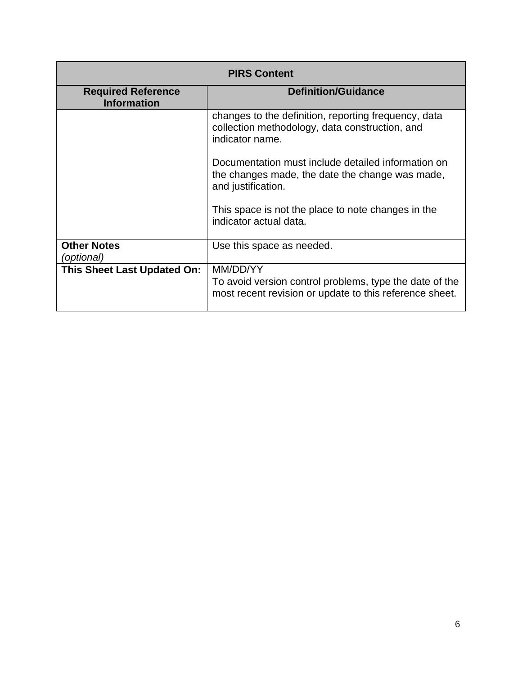| <b>PIRS Content</b>                             |                                                                                                                                |  |
|-------------------------------------------------|--------------------------------------------------------------------------------------------------------------------------------|--|
| <b>Required Reference</b><br><b>Information</b> | <b>Definition/Guidance</b>                                                                                                     |  |
|                                                 | changes to the definition, reporting frequency, data<br>collection methodology, data construction, and<br>indicator name.      |  |
|                                                 | Documentation must include detailed information on<br>the changes made, the date the change was made,<br>and justification.    |  |
|                                                 | This space is not the place to note changes in the<br>indicator actual data.                                                   |  |
| <b>Other Notes</b><br>(optional)                | Use this space as needed.                                                                                                      |  |
| <b>This Sheet Last Updated On:</b>              | MM/DD/YY<br>To avoid version control problems, type the date of the<br>most recent revision or update to this reference sheet. |  |